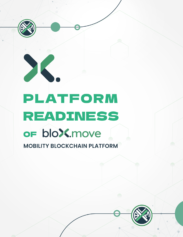



**MOBILITY BLOCKCHAIN PLATFORM**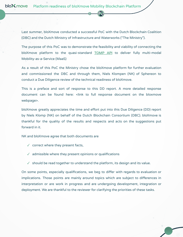bloX.move Platform readiness of bloXmove Mobility Blockchain Platform

> Last summer, bloXmove conducted a successful PoC with the Dutch Blockchain Coalition (DBC) and the Dutch Ministry of Infrastructure and Waterworks ("The Ministry").

> The purpose of this PoC was to demonstrate the feasibility and viability of connecting the bloXmove platform to the quasi-standard [TOMP](https://github.com/TOMP-WG/TOMP-API) API to deliver fully multi-modal Mobility-as-a-Service (MaaS)

> As a result of this PoC the Ministry chose the bloXmove platform for further evaluation and commissioned the DBC and through them, Niels Klompen (NK) of Sphereon to conduct a Due Diligence review of the technical readiness of bloXmove.

> This is a preface and sort of response to this DD report. A more detailed response document can be found here: <link to full response document on the bloxmove webpage>.

> bloXmove greatly appreciates the time and effort put into this Due Diligence (DD) report by Niels Klomp (NK) on behalf of the Dutch Blockchain Consortium (DBC). bloXmove is thankful for the quality of the results and respects and acts on the suggestions put forward in it.

NK and bloXmove agree that both documents are

- ✓ correct where they present facts,
- $\sqrt{ }$  admissible where they present opinions or qualifications
- $\checkmark$  should be read together to understand the platform, its design and its value.

On some points, especially qualifications, we beg to differ with regards to evaluation or implications. Those points are mainly around topics which are subject to differences in interpretation or are work in progress and are undergoing development, integration or deployment. We are thankful to the reviewer for clarifying the priorities of these tasks.